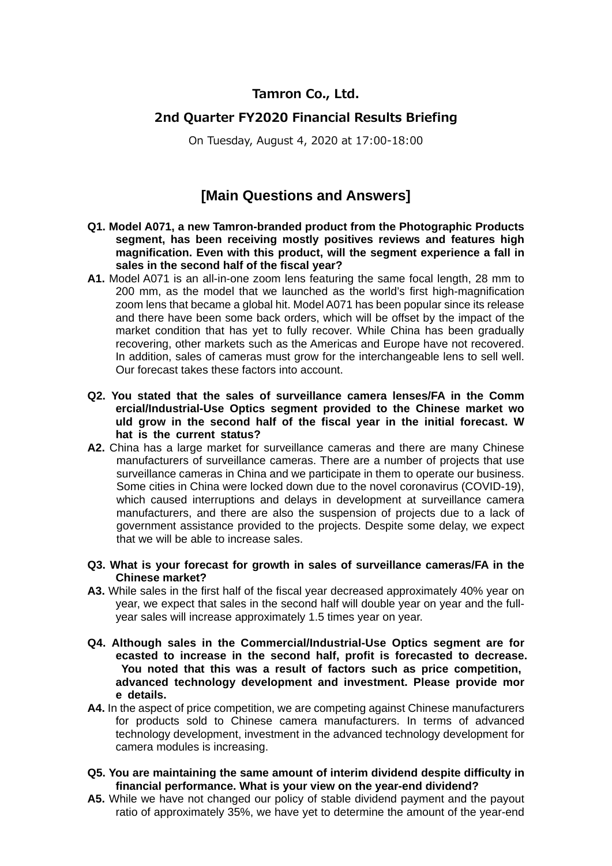## **Tamron Co., Ltd.**

## **2nd Quarter FY2020 Financial Results Briefing**

On Tuesday, August 4, 2020 at 17:00-18:00

## **[Main Questions and Answers]**

- **Q1. Model A071, a new Tamron-branded product from the Photographic Products segment, has been receiving mostly positives reviews and features high magnification. Even with this product, will the segment experience a fall in sales in the second half of the fiscal year?**
- **A1.** Model A071 is an all-in-one zoom lens featuring the same focal length, 28 mm to 200 mm, as the model that we launched as the world's first high-magnification zoom lens that became a global hit. Model A071 has been popular since its release and there have been some back orders, which will be offset by the impact of the market condition that has yet to fully recover. While China has been gradually recovering, other markets such as the Americas and Europe have not recovered. In addition, sales of cameras must grow for the interchangeable lens to sell well. Our forecast takes these factors into account.
- **Q2. You stated that the sales of surveillance camera lenses/FA in the Comm ercial/Industrial-Use Optics segment provided to the Chinese market wo uld grow in the second half of the fiscal year in the initial forecast. W hat is the current status?**
- **A2.** China has a large market for surveillance cameras and there are many Chinese manufacturers of surveillance cameras. There are a number of projects that use surveillance cameras in China and we participate in them to operate our business. Some cities in China were locked down due to the novel coronavirus (COVID-19), which caused interruptions and delays in development at surveillance camera manufacturers, and there are also the suspension of projects due to a lack of government assistance provided to the projects. Despite some delay, we expect that we will be able to increase sales.
- **Q3. What is your forecast for growth in sales of surveillance cameras/FA in the Chinese market?**
- **A3.** While sales in the first half of the fiscal year decreased approximately 40% year on year, we expect that sales in the second half will double year on year and the fullyear sales will increase approximately 1.5 times year on year.
- **Q4. Although sales in the Commercial/Industrial-Use Optics segment are for ecasted to increase in the second half, profit is forecasted to decrease. You noted that this was a result of factors such as price competition, advanced technology development and investment. Please provide mor e details.**
- A4. In the aspect of price competition, we are competing against Chinese manufacturers for products sold to Chinese camera manufacturers. In terms of advanced technology development, investment in the advanced technology development for camera modules is increasing.
- **Q5. You are maintaining the same amount of interim dividend despite difficulty in financial performance. What is your view on the year-end dividend?**
- **A5.** While we have not changed our policy of stable dividend payment and the payout ratio of approximately 35%, we have yet to determine the amount of the year-end